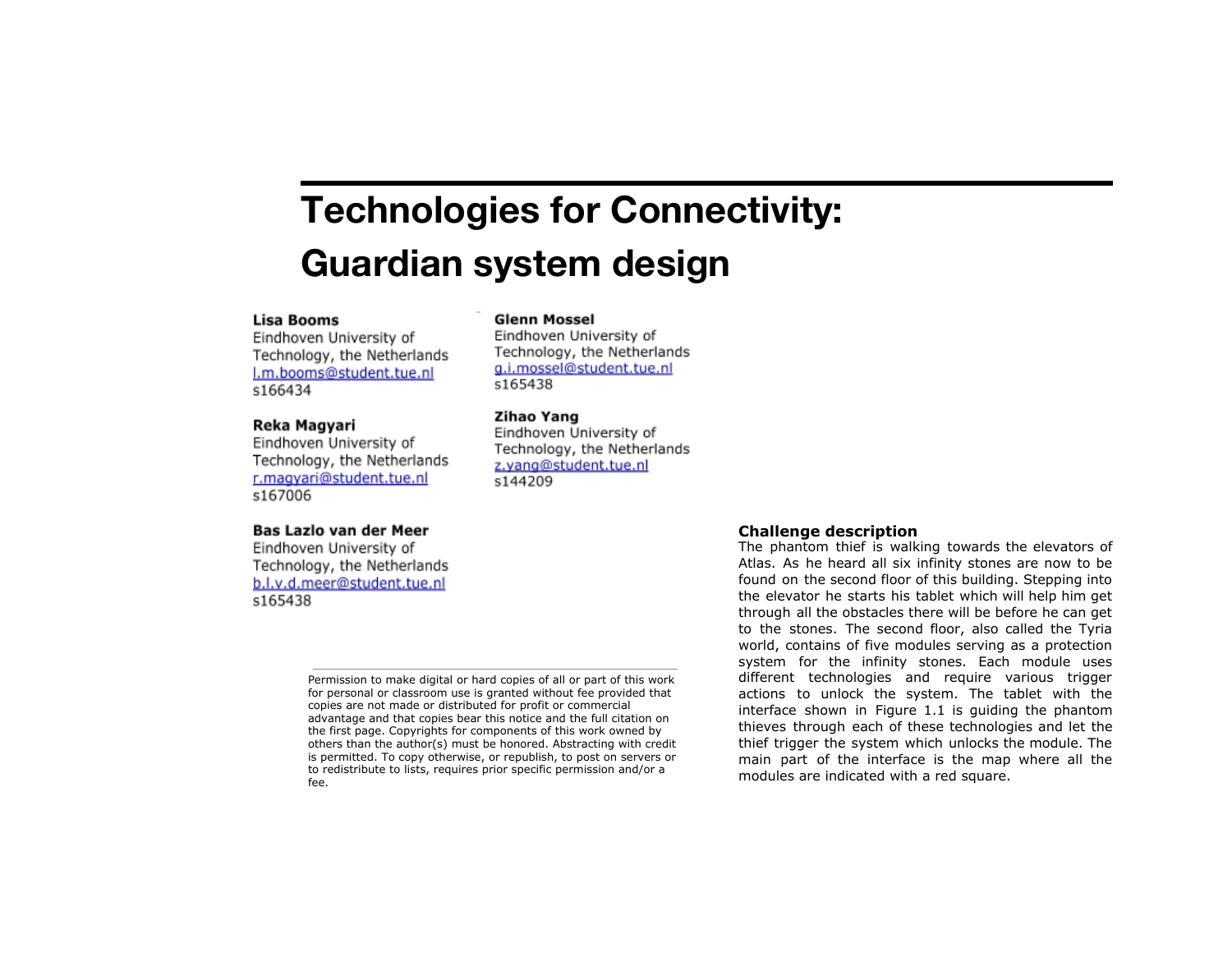# **Technologies for Connectivity: Guardian system design**

# **Lisa Booms**

Eindhoven University of Technology, the Netherlands l.m.booms@student.tue.nl s166434

#### Reka Magyari

Eindhoven University of Technology, the Netherlands r.magyari@student.tue.nl s167006

# **Glenn Mossel**

Eindhoven University of Technology, the Netherlands g.i.mossel@student.tue.nl s165438

# Zihao Yang

Eindhoven University of Technology, the Netherlands z.vang@student.tue.nl s144209

## Bas Lazlo van der Meer

Eindhoven University of Technology, the Netherlands b.l.v.d.meer@student.tue.nl s165438

> Permission to make digital or hard copies of all or part of this work for personal or classroom use is granted without fee provided that copies are not made or distributed for profit or commercial advantage and that copies bear this notice and the full citation on the first page. Copyrights for components of this work owned by others than the author(s) must be honored. Abstracting with credit is permitted. To copy otherwise, or republish, to post on servers or to redistribute to lists, requires prior specific permission and/or a fee.

### **Challenge description**

The phantom thief is walking towards the elevators of Atlas. As he heard all six infinity stones are now to be found on the second floor of this building. Stepping into the elevator he starts his tablet which will help him get through all the obstacles there will be before he can get to the stones. The second floor, also called the Tyria world, contains of five modules serving as a protection system for the infinity stones. Each module uses different technologies and require various trigger actions to unlock the system. The tablet with the interface shown in Figure 1.1 is guiding the phantom thieves through each of these technologies and let the thief trigger the system which unlocks the module. The main part of the interface is the map where all the modules are indicated with a red square.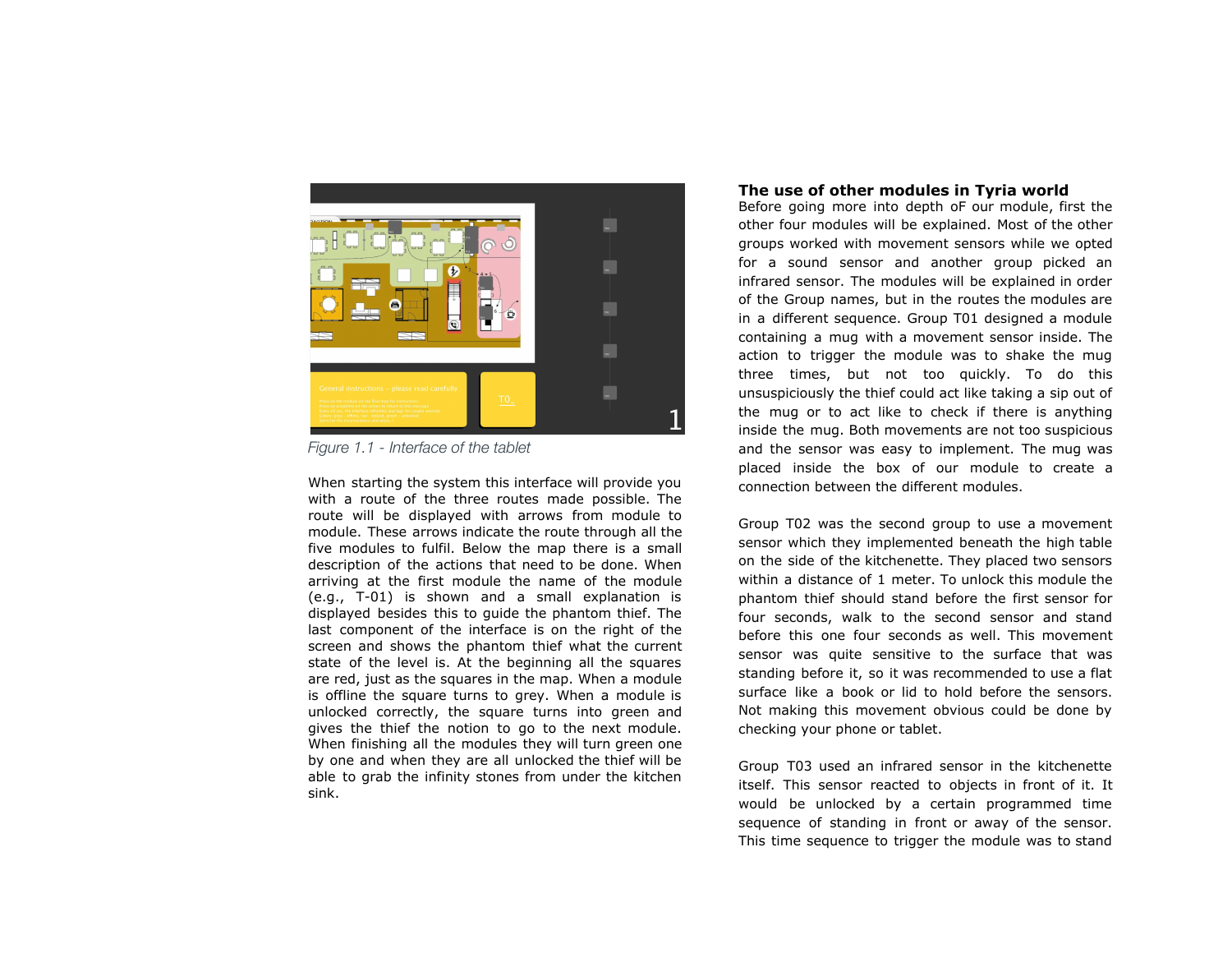

*Figure 1.1 - Interface of the tablet*

When starting the system this interface will provide you with a route of the three routes made possible. The route will be displayed with arrows from module to module. These arrows indicate the route through all the five modules to fulfil. Below the map there is a small description of the actions that need to be done. When arriving at the first module the name of the module (e.g., T-01) is shown and a small explanation is displayed besides this to guide the phantom thief. The last component of the interface is on the right of the screen and shows the phantom thief what the current state of the level is. At the beginning all the squares are red, just as the squares in the map. When a module is offline the square turns to grey. When a module is unlocked correctly, the square turns into green and gives the thief the notion to go to the next module. When finishing all the modules they will turn green one by one and when they are all unlocked the thief will be able to grab the infinity stones from under the kitchen sink.

# **The use of other modules in Tyria world**

Before going more into depth oF our module, first the other four modules will be explained. Most of the other groups worked with movement sensors while we opted for a sound sensor and another group picked an infrared sensor. The modules will be explained in order of the Group names, but in the routes the modules are in a different sequence. Group T01 designed a module containing a mug with a movement sensor inside. The action to trigger the module was to shake the mug three times, but not too quickly. To do this unsuspiciously the thief could act like taking a sip out of the mug or to act like to check if there is anything inside the mug. Both movements are not too suspicious and the sensor was easy to implement. The mug was placed inside the box of our module to create a connection between the different modules.

Group T02 was the second group to use a movement sensor which they implemented beneath the high table on the side of the kitchenette. They placed two sensors within a distance of 1 meter. To unlock this module the phantom thief should stand before the first sensor for four seconds, walk to the second sensor and stand before this one four seconds as well. This movement sensor was quite sensitive to the surface that was standing before it, so it was recommended to use a flat surface like a book or lid to hold before the sensors. Not making this movement obvious could be done by checking your phone or tablet.

Group T03 used an infrared sensor in the kitchenette itself. This sensor reacted to objects in front of it. It would be unlocked by a certain programmed time sequence of standing in front or away of the sensor. This time sequence to trigger the module was to stand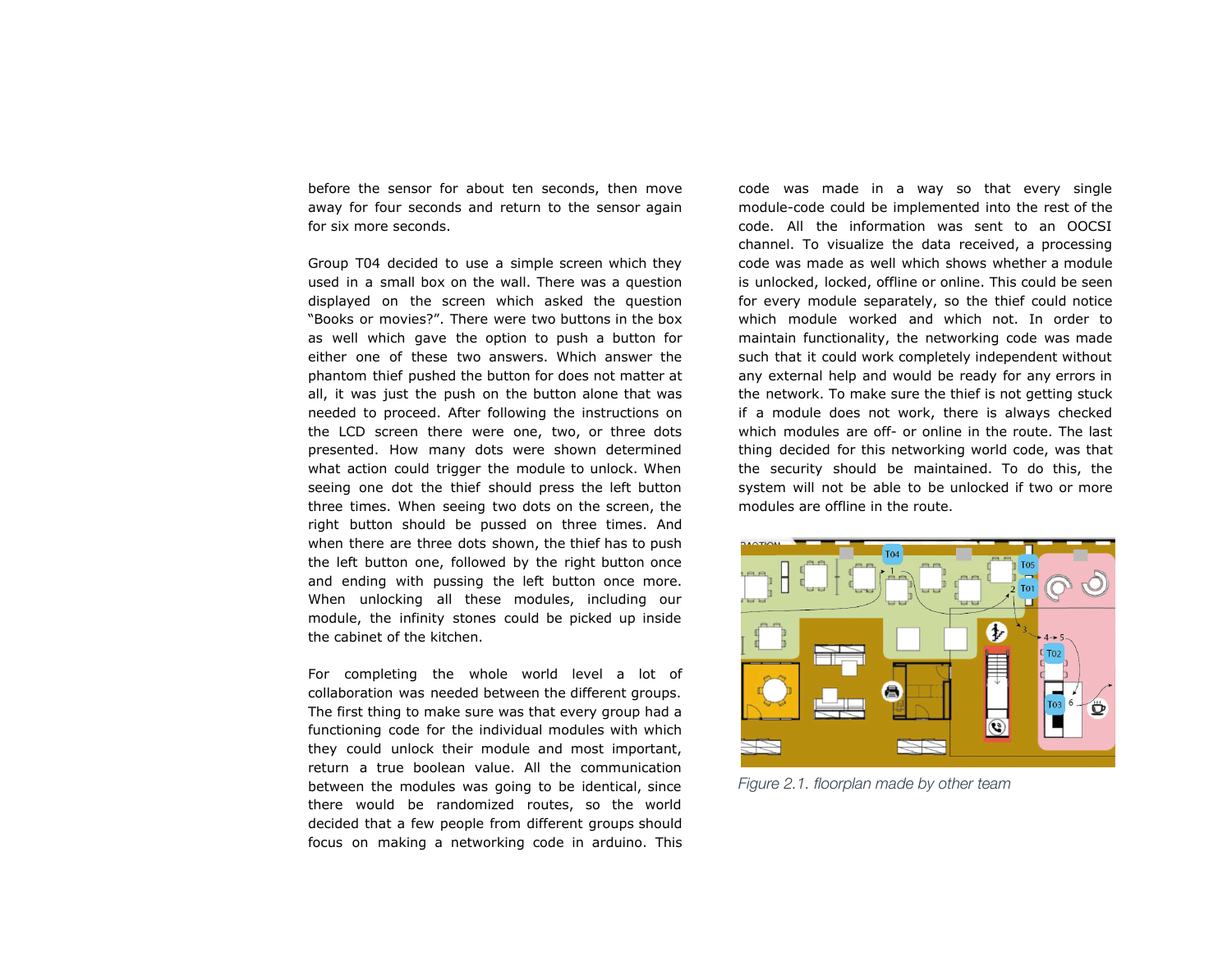before the sensor for about ten seconds, then move away for four seconds and return to the sensor again for six more seconds.

Group T04 decided to use a simple screen which they used in a small box on the wall. There was a question displayed on the screen which asked the question "Books or movies?". There were two buttons in the box as well which gave the option to push a button for either one of these two answers. Which answer the phantom thief pushed the button for does not matter at all, it was just the push on the button alone that was needed to proceed. After following the instructions on the LCD screen there were one, two, or three dots presented. How many dots were shown determined what action could trigger the module to unlock. When seeing one dot the thief should press the left button three times. When seeing two dots on the screen, the right button should be pussed on three times. And when there are three dots shown, the thief has to push the left button one, followed by the right button once and ending with pussing the left button once more. When unlocking all these modules, including our module, the infinity stones could be picked up inside the cabinet of the kitchen.

For completing the whole world level a lot of collaboration was needed between the different groups. The first thing to make sure was that every group had a functioning code for the individual modules with which they could unlock their module and most important, return a true boolean value. All the communication between the modules was going to be identical, since there would be randomized routes, so the world decided that a few people from different groups should focus on making a networking code in arduino. This

code was made in a way so that every single module-code could be implemented into the rest of the code. All the information was sent to an OOCSI channel. To visualize the data received, a processing code was made as well which shows whether a module is unlocked, locked, offline or online. This could be seen for every module separately, so the thief could notice which module worked and which not. In order to maintain functionality, the networking code was made such that it could work completely independent without any external help and would be ready for any errors in the network. To make sure the thief is not getting stuck if a module does not work, there is always checked which modules are off- or online in the route. The last thing decided for this networking world code, was that the security should be maintained. To do this, the system will not be able to be unlocked if two or more modules are offline in the route.



*Figure 2.1. floorplan made by other team*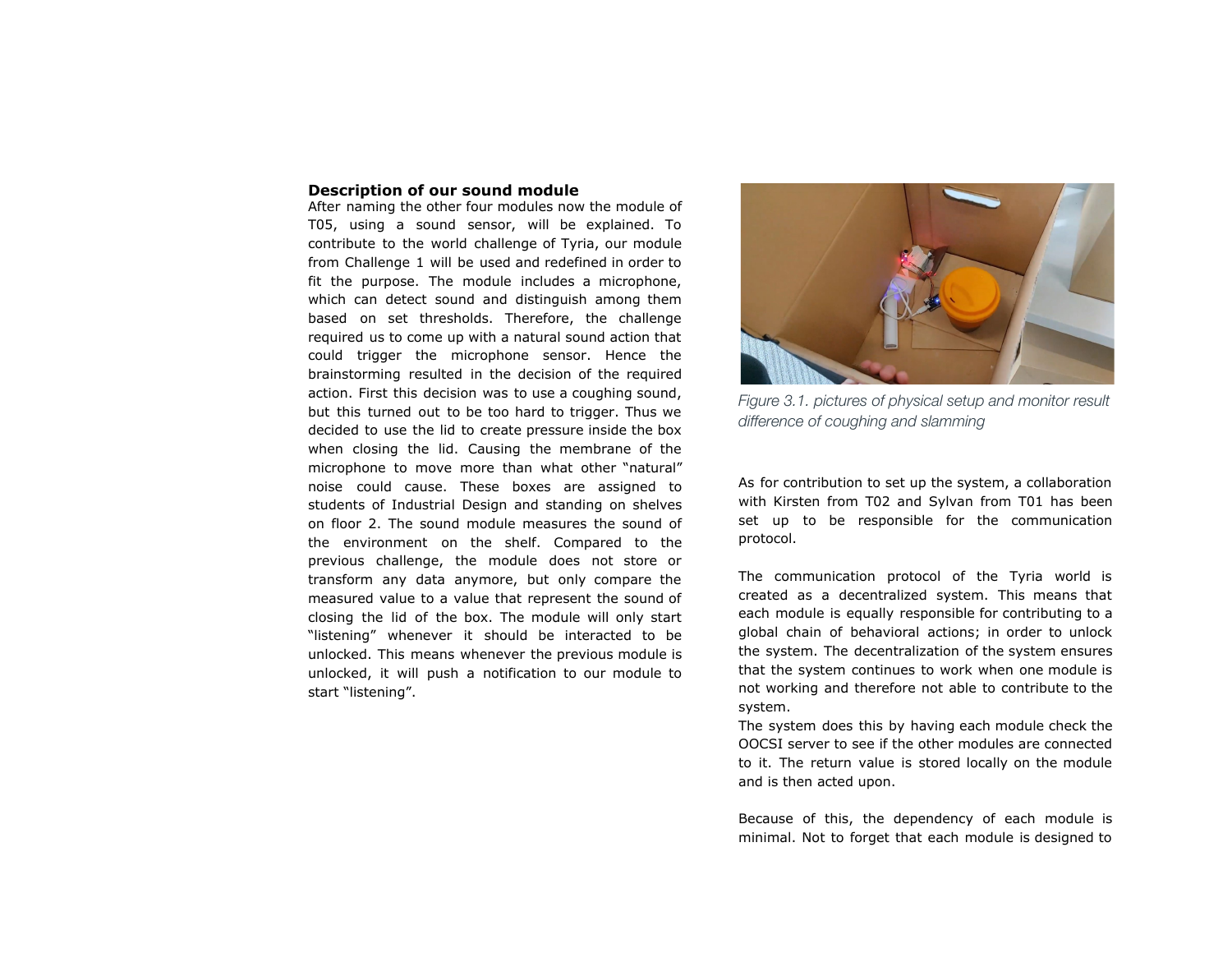# **Description of our sound module**

After naming the other four modules now the module of T05, using a sound sensor, will be explained. To contribute to the world challenge of Tyria, our module from Challenge 1 will be used and redefined in order to fit the purpose. The module includes a microphone, which can detect sound and distinguish among them based on set thresholds. Therefore, the challenge required us to come up with a natural sound action that could trigger the microphone sensor. Hence the brainstorming resulted in the decision of the required action. First this decision was to use a coughing sound, but this turned out to be too hard to trigger. Thus we decided to use the lid to create pressure inside the box when closing the lid. Causing the membrane of the microphone to move more than what other "natural" noise could cause. These boxes are assigned to students of Industrial Design and standing on shelves on floor 2. The sound module measures the sound of the environment on the shelf. Compared to the previous challenge, the module does not store or transform any data anymore, but only compare the measured value to a value that represent the sound of closing the lid of the box. The module will only start "listening" whenever it should be interacted to be unlocked. This means whenever the previous module is unlocked, it will push a notification to our module to start "listening".



*Figure 3.1. pictures of physical setup and monitor result difference of coughing and slamming*

As for contribution to set up the system, a collaboration with Kirsten from T02 and Sylvan from T01 has been set up to be responsible for the communication protocol.

The communication protocol of the Tyria world is created as a decentralized system. This means that each module is equally responsible for contributing to a global chain of behavioral actions; in order to unlock the system. The decentralization of the system ensures that the system continues to work when one module is not working and therefore not able to contribute to the system.

The system does this by having each module check the OOCSI server to see if the other modules are connected to it. The return value is stored locally on the module and is then acted upon.

Because of this, the dependency of each module is minimal. Not to forget that each module is designed to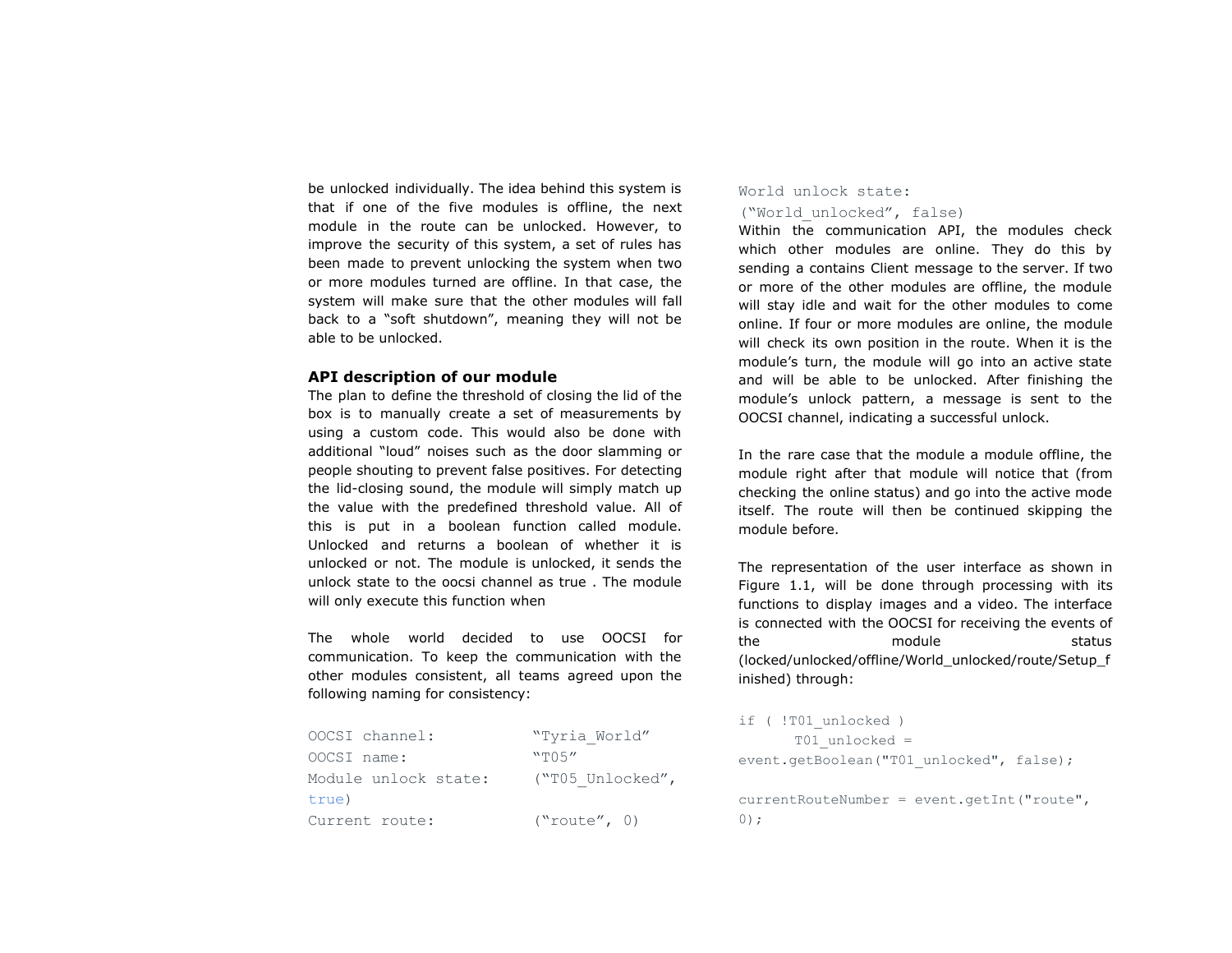be unlocked individually. The idea behind this system is that if one of the five modules is offline, the next module in the route can be unlocked. However, to improve the security of this system, a set of rules has been made to prevent unlocking the system when two or more modules turned are offline. In that case, the system will make sure that the other modules will fall back to a "soft shutdown", meaning they will not be able to be unlocked.

#### **API description of our module**

The plan to define the threshold of closing the lid of the box is to manually create a set of measurements by using a custom code. This would also be done with additional "loud" noises such as the door slamming or people shouting to prevent false positives. For detecting the lid-closing sound, the module will simply match up the value with the predefined threshold value. All of this is put in a boolean function called module. Unlocked and returns a boolean of whether it is unlocked or not. The module is unlocked, it sends the unlock state to the oocsi channel as true . The module will only execute this function when

The whole world decided to use OOCSI for communication. To keep the communication with the other modules consistent, all teams agreed upon the following naming for consistency:

| OOCSI channel:       | "Tyria World"    |
|----------------------|------------------|
| OOCSI name:          | "T05"            |
| Module unlock state: | ("T05 Unlocked", |
| true)                |                  |
| Current route:       | ("route", 0)     |

# World unlock state: ("World\_unlocked", false)

Within the communication API, the modules check which other modules are online. They do this by sending a contains Client message to the server. If two or more of the other modules are offline, the module will stay idle and wait for the other modules to come online. If four or more modules are online, the module will check its own position in the route. When it is the module's turn, the module will go into an active state and will be able to be unlocked. After finishing the module's unlock pattern, a message is sent to the OOCSI channel, indicating a successful unlock.

In the rare case that the module a module offline, the module right after that module will notice that (from checking the online status) and go into the active mode itself. The route will then be continued skipping the module before.

The representation of the user interface as shown in Figure 1.1, will be done through processing with its functions to display images and a video. The interface is connected with the OOCSI for receiving the events of the module module status (locked/unlocked/offline/World\_unlocked/route/Setup\_f inished) through:

```
if ( !T01 unlocked )
      T01_unlocked =
event.getBoolean("T01_unlocked", false);
currentRouteNumber = event.getInt("route",
0);
```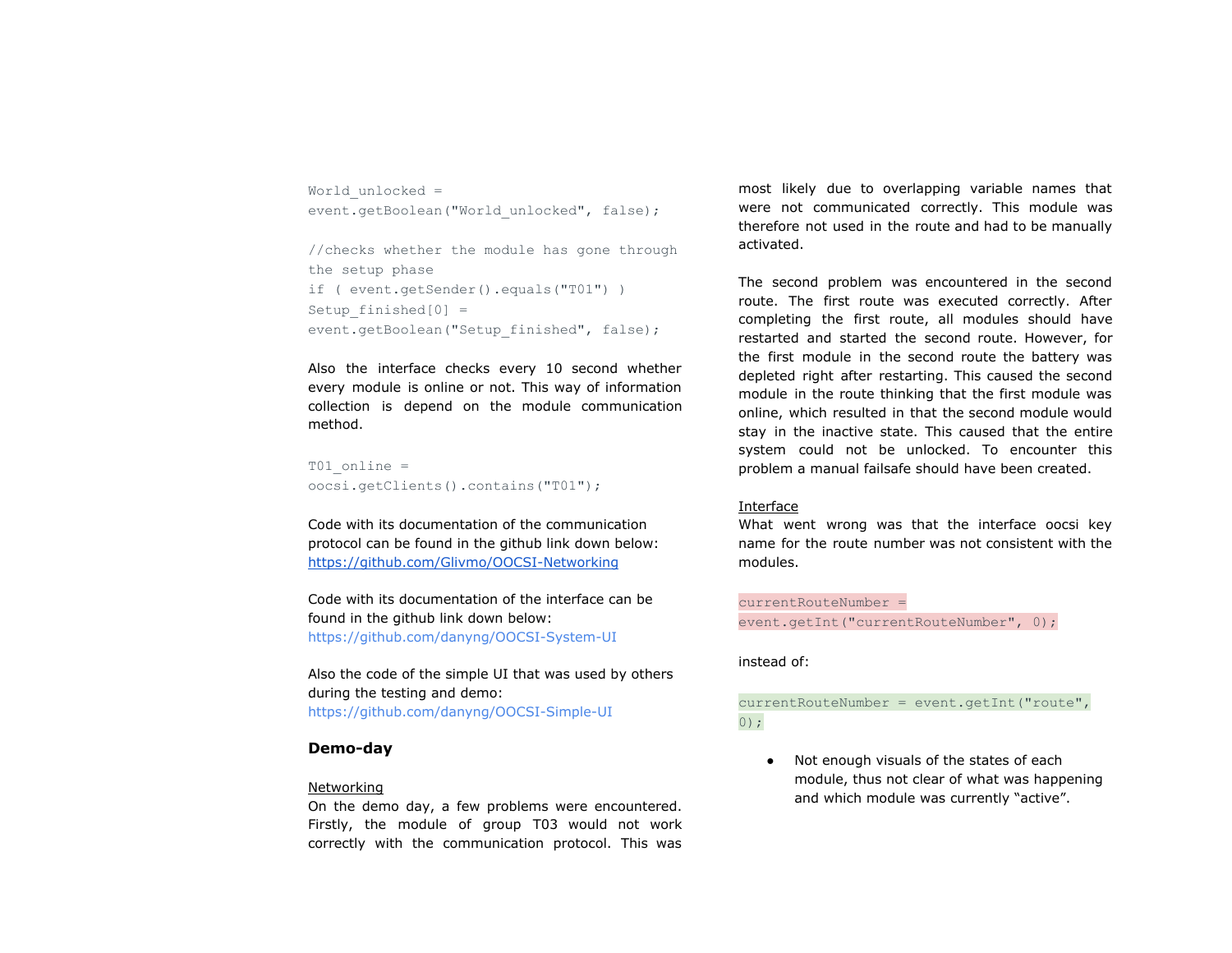World\_unlocked = event.getBoolean("World\_unlocked", false);

```
//checks whether the module has gone through
the setup phase
if ( event.getSender().equals("T01") )
Setup finished[0] =event.getBoolean("Setup finished", false);
```
Also the interface checks every 10 second whether every module is online or not. This way of information collection is depend on the module communication method.

```
T01 online =
oocsi.getClients().contains("T01");
```
Code with its documentation of the communication protocol can be found in the github link down below: <https://github.com/Glivmo/OOCSI-Networking>

Code with its documentation of the interface can be found in the github link down below: <https://github.com/danyng/OOCSI-System-UI>

Also the code of the simple UI that was used by others during the testing and demo: <https://github.com/danyng/OOCSI-Simple-UI>

#### **Demo-day**

#### Networking

On the demo day, a few problems were encountered. Firstly, the module of group T03 would not work correctly with the communication protocol. This was

most likely due to overlapping variable names that were not communicated correctly. This module was therefore not used in the route and had to be manually activated.

The second problem was encountered in the second route. The first route was executed correctly. After completing the first route, all modules should have restarted and started the second route. However, for the first module in the second route the battery was depleted right after restarting. This caused the second module in the route thinking that the first module was online, which resulted in that the second module would stay in the inactive state. This caused that the entire system could not be unlocked. To encounter this problem a manual failsafe should have been created.

#### Interface

What went wrong was that the interface oocsi key name for the route number was not consistent with the modules.

currentRouteNumber = event.getInt("currentRouteNumber", 0);

instead of:

currentRouteNumber = event.getInt("route", 0);

● Not enough visuals of the states of each module, thus not clear of what was happening and which module was currently "active".